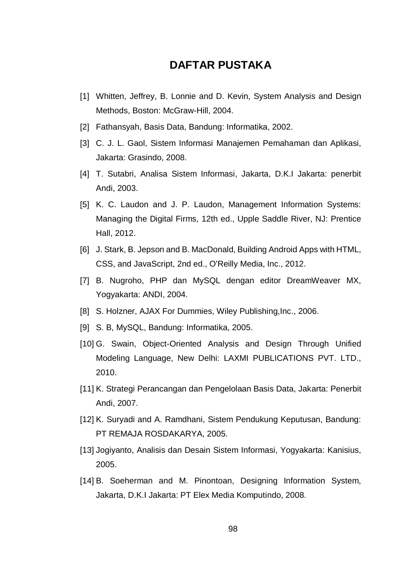## **DAFTAR PUSTAKA**

- [1] Whitten, Jeffrey, B. Lonnie and D. Kevin, System Analysis and Design Methods, Boston: McGraw-Hill, 2004.
- [2] Fathansyah, Basis Data, Bandung: Informatika, 2002.
- [3] C. J. L. Gaol, Sistem Informasi Manajemen Pemahaman dan Aplikasi, Jakarta: Grasindo, 2008.
- [4] T. Sutabri, Analisa Sistem Informasi, Jakarta, D.K.I Jakarta: penerbit Andi, 2003.
- [5] K. C. Laudon and J. P. Laudon, Management Information Systems: Managing the Digital Firms, 12th ed., Upple Saddle River, NJ: Prentice Hall, 2012.
- [6] J. Stark, B. Jepson and B. MacDonald, Building Android Apps with HTML, CSS, and JavaScript, 2nd ed., O'Reilly Media, Inc., 2012.
- [7] B. Nugroho, PHP dan MySQL dengan editor DreamWeaver MX, Yogyakarta: ANDI, 2004.
- [8] S. Holzner, AJAX For Dummies, Wiley Publishing, Inc., 2006.
- [9] S. B, MySQL, Bandung: Informatika, 2005.
- [10] G. Swain, Object-Oriented Analysis and Design Through Unified Modeling Language, New Delhi: LAXMI PUBLICATIONS PVT. LTD., 2010.
- [11] K. Strategi Perancangan dan Pengelolaan Basis Data, Jakarta: Penerbit Andi, 2007.
- [12] K. Survadi and A. Ramdhani, Sistem Pendukung Keputusan, Bandung: PT REMAJA ROSDAKARYA, 2005.
- [13] Jogiyanto, Analisis dan Desain Sistem Informasi, Yogyakarta: Kanisius, 2005.
- [14] B. Soeherman and M. Pinontoan, Designing Information System, Jakarta, D.K.I Jakarta: PT Elex Media Komputindo, 2008.